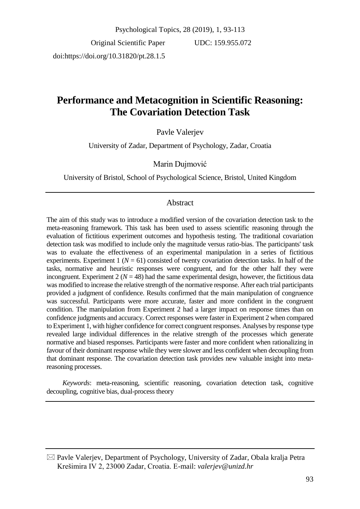Original Scientific Paper doi:https://doi.org/10.31820/pt.28.1.5

UDC: 159.955.072

# **Performance and Metacognition in Scientific Reasoning: The Covariation Detection Task**

Pavle Valeriev

University of Zadar, Department of Psychology, Zadar, Croatia

Marin Dujmović

University of Bristol, School of Psychological Science, Bristol, United Kingdom

## Abstract

The aim of this study was to introduce a modified version of the covariation detection task to the meta-reasoning framework. This task has been used to assess scientific reasoning through the evaluation of fictitious experiment outcomes and hypothesis testing. The traditional covariation detection task was modified to include only the magnitude versus ratio-bias. The participants' task was to evaluate the effectiveness of an experimental manipulation in a series of fictitious experiments. Experiment  $1 (N = 61)$  consisted of twenty covariation detection tasks. In half of the tasks, normative and heuristic responses were congruent, and for the other half they were incongruent. Experiment 2 ( $N = 48$ ) had the same experimental design, however, the fictitious data was modified to increase the relative strength of the normative response. After each trial participants provided a judgment of confidence. Results confirmed that the main manipulation of congruence was successful. Participants were more accurate, faster and more confident in the congruent condition. The manipulation from Experiment 2 had a larger impact on response times than on confidence judgments and accuracy. Correct responses were faster in Experiment 2 when compared to Experiment 1, with higher confidence for correct congruent responses. Analyses by response type revealed large individual differences in the relative strength of the processes which generate normative and biased responses. Participants were faster and more confident when rationalizing in favour of their dominant response while they were slower and less confident when decoupling from that dominant response. The covariation detection task provides new valuable insight into metareasoning processes.

*Keywords*: meta-reasoning, scientific reasoning, covariation detection task, cognitive decoupling, cognitive bias, dual-process theory

 $\boxtimes$  Pavle Valerjev, Department of Psychology, University of Zadar, Obala kralja Petra Krešimira IV 2, 23000 Zadar, Croatia. E-mail: *valerjev@unizd.hr*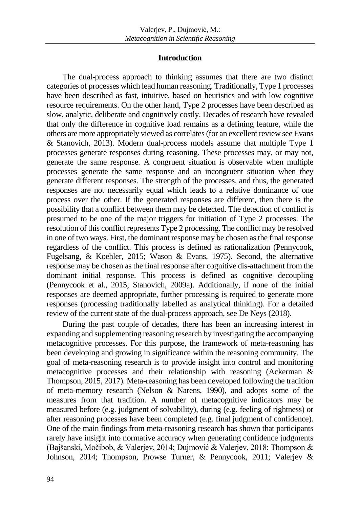#### **Introduction**

The dual-process approach to thinking assumes that there are two distinct categories of processes which lead human reasoning. Traditionally, Type 1 processes have been described as fast, intuitive, based on heuristics and with low cognitive resource requirements. On the other hand, Type 2 processes have been described as slow, analytic, deliberate and cognitively costly. Decades of research have revealed that only the difference in cognitive load remains as a defining feature, while the others are more appropriately viewed as correlates (for an excellent review see Evans & Stanovich, 2013). Modern dual-process models assume that multiple Type 1 processes generate responses during reasoning. These processes may, or may not, generate the same response. A congruent situation is observable when multiple processes generate the same response and an incongruent situation when they generate different responses. The strength of the processes, and thus, the generated responses are not necessarily equal which leads to a relative dominance of one process over the other. If the generated responses are different, then there is the possibility that a conflict between them may be detected. The detection of conflict is presumed to be one of the major triggers for initiation of Type 2 processes. The resolution of this conflict represents Type 2 processing. The conflict may be resolved in one of two ways. First, the dominant response may be chosen as the final response regardless of the conflict. This process is defined as rationalization (Pennycook, Fugelsang, & Koehler, 2015; Wason & Evans, 1975). Second, the alternative response may be chosen as the final response after cognitive dis-attachment from the dominant initial response. This process is defined as cognitive decoupling (Pennycook et al., 2015; Stanovich, 2009a). Additionally, if none of the initial responses are deemed appropriate, further processing is required to generate more responses (processing traditionally labelled as analytical thinking). For a detailed review of the current state of the dual-process approach, see De Neys (2018).

During the past couple of decades, there has been an increasing interest in expanding and supplementing reasoning research by investigating the accompanying metacognitive processes. For this purpose, the framework of meta-reasoning has been developing and growing in significance within the reasoning community. The goal of meta-reasoning research is to provide insight into control and monitoring metacognitive processes and their relationship with reasoning (Ackerman & Thompson, 2015, 2017). Meta-reasoning has been developed following the tradition of meta-memory research (Nelson & Narens, 1990), and adopts some of the measures from that tradition. A number of metacognitive indicators may be measured before (e.g. judgment of solvability), during (e.g. feeling of rightness) or after reasoning processes have been completed (e.g. final judgment of confidence). One of the main findings from meta-reasoning research has shown that participants rarely have insight into normative accuracy when generating confidence judgments (Bajšanski, Močibob, & Valerjev, 2014; Dujmović & Valerjev, 2018; Thompson & Johnson, 2014; Thompson, Prowse Turner, & Pennycook, 2011; Valerjev &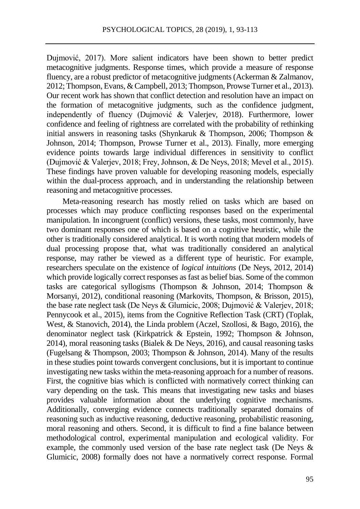Dujmović, 2017). More salient indicators have been shown to better predict metacognitive judgments. Response times, which provide a measure of response fluency, are a robust predictor of metacognitive judgments (Ackerman & Zalmanov, 2012; Thompson, Evans, & Campbell, 2013; Thompson, Prowse Turner et al., 2013). Our recent work has shown that conflict detection and resolution have an impact on the formation of metacognitive judgments, such as the confidence judgment, independently of fluency (Dujmović & Valerjev, 2018). Furthermore, lower confidence and feeling of rightness are correlated with the probability of rethinking initial answers in reasoning tasks (Shynkaruk & Thompson, 2006; Thompson & Johnson, 2014; Thompson, Prowse Turner et al., 2013). Finally, more emerging evidence points towards large individual differences in sensitivity to conflict (Dujmović & Valerjev, 2018; Frey, Johnson, & De Neys, 2018; Mevel et al., 2015). These findings have proven valuable for developing reasoning models, especially within the dual-process approach, and in understanding the relationship between reasoning and metacognitive processes.

Meta-reasoning research has mostly relied on tasks which are based on processes which may produce conflicting responses based on the experimental manipulation. In incongruent (conflict) versions, these tasks, most commonly, have two dominant responses one of which is based on a cognitive heuristic, while the other is traditionally considered analytical. It is worth noting that modern models of dual processing propose that, what was traditionally considered an analytical response, may rather be viewed as a different type of heuristic. For example, researchers speculate on the existence of *logical intuitions* (De Neys, 2012, 2014) which provide logically correct responses as fast as belief bias. Some of the common tasks are categorical syllogisms (Thompson & Johnson, 2014; Thompson & Morsanyi, 2012), conditional reasoning (Markovits, Thompson, & Brisson, 2015), the base rate neglect task (De Neys & Glumicic, 2008; Dujmović & Valerjev, 2018; Pennycook et al., 2015), items from the Cognitive Reflection Task (CRT) (Toplak, West, & Stanovich, 2014), the Linda problem (Aczel, Szollosi, & Bago, 2016), the denominator neglect task (Kirkpatrick & Epstein, 1992; Thompson & Johnson, 2014), moral reasoning tasks (Bialek & De Neys, 2016), and causal reasoning tasks (Fugelsang & Thompson, 2003; Thompson & Johnson, 2014). Many of the results in these studies point towards convergent conclusions, but it is important to continue investigating new tasks within the meta-reasoning approach for a number of reasons. First, the cognitive bias which is conflicted with normatively correct thinking can vary depending on the task. This means that investigating new tasks and biases provides valuable information about the underlying cognitive mechanisms. Additionally, converging evidence connects traditionally separated domains of reasoning such as inductive reasoning, deductive reasoning, probabilistic reasoning, moral reasoning and others. Second, it is difficult to find a fine balance between methodological control, experimental manipulation and ecological validity. For example, the commonly used version of the base rate neglect task (De Neys & Glumicic, 2008) formally does not have a normatively correct response. Formal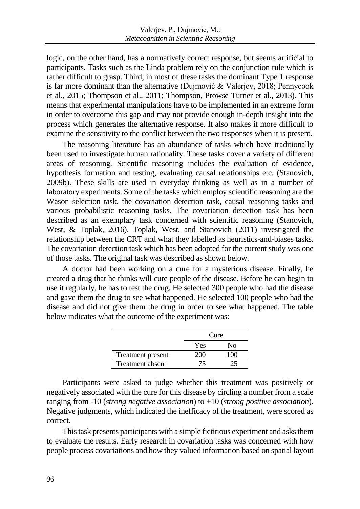logic, on the other hand, has a normatively correct response, but seems artificial to participants. Tasks such as the Linda problem rely on the conjunction rule which is rather difficult to grasp. Third, in most of these tasks the dominant Type 1 response is far more dominant than the alternative (Dujmović & Valerjev, 2018; Pennycook et al., 2015; Thompson et al., 2011; Thompson, Prowse Turner et al., 2013). This means that experimental manipulations have to be implemented in an extreme form in order to overcome this gap and may not provide enough in-depth insight into the process which generates the alternative response. It also makes it more difficult to examine the sensitivity to the conflict between the two responses when it is present.

The reasoning literature has an abundance of tasks which have traditionally been used to investigate human rationality. These tasks cover a variety of different areas of reasoning. Scientific reasoning includes the evaluation of evidence, hypothesis formation and testing, evaluating causal relationships etc. (Stanovich, 2009b). These skills are used in everyday thinking as well as in a number of laboratory experiments. Some of the tasks which employ scientific reasoning are the Wason selection task, the covariation detection task, causal reasoning tasks and various probabilistic reasoning tasks. The covariation detection task has been described as an exemplary task concerned with scientific reasoning (Stanovich, West, & Toplak, 2016). Toplak, West, and Stanovich (2011) investigated the relationship between the CRT and what they labelled as heuristics-and-biases tasks. The covariation detection task which has been adopted for the current study was one of those tasks. The original task was described as shown below.

A doctor had been working on a cure for a mysterious disease. Finally, he created a drug that he thinks will cure people of the disease. Before he can begin to use it regularly, he has to test the drug. He selected 300 people who had the disease and gave them the drug to see what happened. He selected 100 people who had the disease and did not give them the drug in order to see what happened. The table below indicates what the outcome of the experiment was:

|                          | Cure             |    |
|--------------------------|------------------|----|
|                          | Yes              | N٥ |
| <b>Treatment</b> present | $\mathcal{V}(M)$ |    |
| Treatment absent         | 75               |    |

Participants were asked to judge whether this treatment was positively or negatively associated with the cure for this disease by circling a number from a scale ranging from -10 (*strong negative association*) to +10 (*strong positive association*). Negative judgments, which indicated the inefficacy of the treatment, were scored as correct.

This task presents participants with a simple fictitious experiment and asks them to evaluate the results. Early research in covariation tasks was concerned with how people process covariations and how they valued information based on spatial layout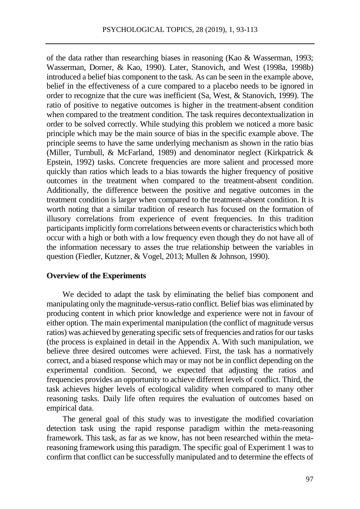of the data rather than researching biases in reasoning (Kao & Wasserman, 1993; Wasserman, Dorner, & Kao, 1990). Later, Stanovich, and West (1998a, 1998b) introduced a belief bias component to the task. As can be seen in the example above, belief in the effectiveness of a cure compared to a placebo needs to be ignored in order to recognize that the cure was inefficient (Sa, West, & Stanovich, 1999). The ratio of positive to negative outcomes is higher in the treatment-absent condition when compared to the treatment condition. The task requires decontextualization in order to be solved correctly. While studying this problem we noticed a more basic principle which may be the main source of bias in the specific example above. The principle seems to have the same underlying mechanism as shown in the ratio bias (Miller, Turnbull, & McFarland, 1989) and denominator neglect (Kirkpatrick & Epstein, 1992) tasks. Concrete frequencies are more salient and processed more quickly than ratios which leads to a bias towards the higher frequency of positive outcomes in the treatment when compared to the treatment-absent condition. Additionally, the difference between the positive and negative outcomes in the treatment condition is larger when compared to the treatment-absent condition. It is worth noting that a similar tradition of research has focused on the formation of illusory correlations from experience of event frequencies. In this tradition participants implicitly form correlations between events or characteristics which both occur with a high or both with a low frequency even though they do not have all of the information necessary to asses the true relationship between the variables in question (Fiedler, Kutzner, & Vogel, 2013; Mullen & Johnson, 1990).

## **Overview of the Experiments**

We decided to adapt the task by eliminating the belief bias component and manipulating only the magnitude-versus-ratio conflict. Belief bias was eliminated by producing content in which prior knowledge and experience were not in favour of either option. The main experimental manipulation (the conflict of magnitude versus ratios) was achieved by generating specific sets of frequencies and ratios for our tasks (the process is explained in detail in the Appendix A. With such manipulation, we believe three desired outcomes were achieved. First, the task has a normatively correct, and a biased response which may or may not be in conflict depending on the experimental condition. Second, we expected that adjusting the ratios and frequencies provides an opportunity to achieve different levels of conflict. Third, the task achieves higher levels of ecological validity when compared to many other reasoning tasks. Daily life often requires the evaluation of outcomes based on empirical data.

The general goal of this study was to investigate the modified covariation detection task using the rapid response paradigm within the meta-reasoning framework. This task, as far as we know, has not been researched within the metareasoning framework using this paradigm. The specific goal of Experiment 1 was to confirm that conflict can be successfully manipulated and to determine the effects of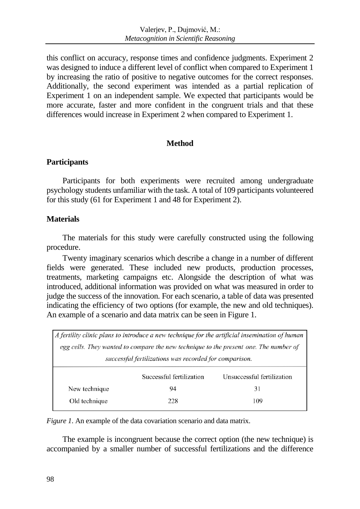this conflict on accuracy, response times and confidence judgments. Experiment 2 was designed to induce a different level of conflict when compared to Experiment 1 by increasing the ratio of positive to negative outcomes for the correct responses. Additionally, the second experiment was intended as a partial replication of Experiment 1 on an independent sample. We expected that participants would be more accurate, faster and more confident in the congruent trials and that these differences would increase in Experiment 2 when compared to Experiment 1.

## **Method**

## **Participants**

Participants for both experiments were recruited among undergraduate psychology students unfamiliar with the task. A total of 109 participants volunteered for this study (61 for Experiment 1 and 48 for Experiment 2).

## **Materials**

The materials for this study were carefully constructed using the following procedure.

Twenty imaginary scenarios which describe a change in a number of different fields were generated. These included new products, production processes, treatments, marketing campaigns etc. Alongside the description of what was introduced, additional information was provided on what was measured in order to judge the success of the innovation. For each scenario, a table of data was presented indicating the efficiency of two options (for example, the new and old techniques). An example of a scenario and data matrix can be seen in Figure 1.

| $\Lambda$ fertility clinic plans to introduce a new technique for the artificial insemination of human |                          |                            |  |
|--------------------------------------------------------------------------------------------------------|--------------------------|----------------------------|--|
| egg cells. They wanted to compare the new technique to the present one. The number of                  |                          |                            |  |
| successful fertilizations was recorded for comparison.                                                 |                          |                            |  |
|                                                                                                        | Successful fertilization | Unsuccessful fertilization |  |
| New technique                                                                                          | 94                       | 31                         |  |
| Old technique                                                                                          | 228                      | 109                        |  |

*Figure 1*. An example of the data covariation scenario and data matrix.

The example is incongruent because the correct option (the new technique) is accompanied by a smaller number of successful fertilizations and the difference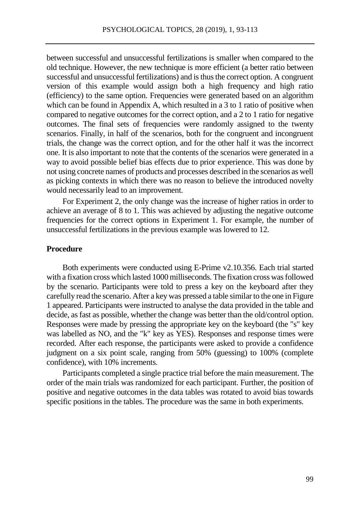between successful and unsuccessful fertilizations is smaller when compared to the old technique. However, the new technique is more efficient (a better ratio between successful and unsuccessful fertilizations) and is thus the correct option. A congruent version of this example would assign both a high frequency and high ratio (efficiency) to the same option. Frequencies were generated based on an algorithm which can be found in Appendix A, which resulted in a 3 to 1 ratio of positive when compared to negative outcomes for the correct option, and a 2 to 1 ratio for negative outcomes. The final sets of frequencies were randomly assigned to the twenty scenarios. Finally, in half of the scenarios, both for the congruent and incongruent trials, the change was the correct option, and for the other half it was the incorrect one. It is also important to note that the contents of the scenarios were generated in a way to avoid possible belief bias effects due to prior experience. This was done by not using concrete names of products and processes described in the scenarios as well as picking contexts in which there was no reason to believe the introduced novelty would necessarily lead to an improvement.

For Experiment 2, the only change was the increase of higher ratios in order to achieve an average of 8 to 1. This was achieved by adjusting the negative outcome frequencies for the correct options in Experiment 1. For example, the number of unsuccessful fertilizations in the previous example was lowered to 12.

## **Procedure**

Both experiments were conducted using E-Prime v2.10.356. Each trial started with a fixation cross which lasted 1000 milliseconds. The fixation cross was followed by the scenario. Participants were told to press a key on the keyboard after they carefully read the scenario. After a key was pressed a table similar to the one in Figure 1 appeared. Participants were instructed to analyse the data provided in the table and decide, as fast as possible, whether the change was better than the old/control option. Responses were made by pressing the appropriate key on the keyboard (the "s" key was labelled as NO, and the "k" key as YES). Responses and response times were recorded. After each response, the participants were asked to provide a confidence judgment on a six point scale, ranging from 50% (guessing) to 100% (complete confidence), with 10% increments.

Participants completed a single practice trial before the main measurement. The order of the main trials was randomized for each participant. Further, the position of positive and negative outcomes in the data tables was rotated to avoid bias towards specific positions in the tables. The procedure was the same in both experiments.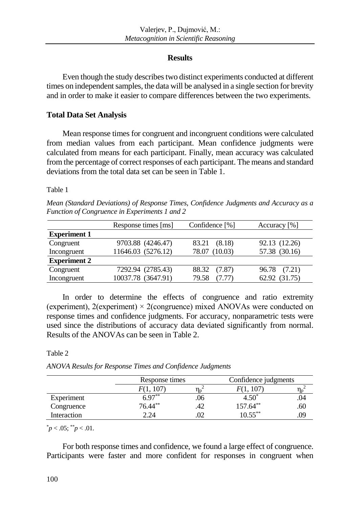## **Results**

Even though the study describes two distinct experiments conducted at different times on independent samples, the data will be analysed in a single section for brevity and in order to make it easier to compare differences between the two experiments.

# **Total Data Set Analysis**

Mean response times for congruent and incongruent conditions were calculated from median values from each participant. Mean confidence judgments were calculated from means for each participant. Finally, mean accuracy was calculated from the percentage of correct responses of each participant. The means and standard deviations from the total data set can be seen in Table 1.

Table 1

*Mean (Standard Deviations) of Response Times, Confidence Judgments and Accuracy as a Function of Congruence in Experiments 1 and 2*

|                     | Response times [ms] | Confidence [%]   | Accuracy [%]    |
|---------------------|---------------------|------------------|-----------------|
| <b>Experiment 1</b> |                     |                  |                 |
| Congruent           | 9703.88 (4246.47)   | (8.18)<br>83.21  | 92.13 (12.26)   |
| Incongruent         | 11646.03 (5276.12)  | (10.03)<br>78.07 | 57.38 (30.16)   |
| <b>Experiment 2</b> |                     |                  |                 |
| Congruent           | 7292.94 (2785.43)   | 88.32<br>(7.87)  | 96.78<br>(7.21) |
| Incongruent         | 10037.78 (3647.91)  | 79.58<br>(7.77)  | 62.92 (31.75)   |

In order to determine the effects of congruence and ratio extremity (experiment),  $2$ (experiment)  $\times$  2(congruence) mixed ANOVAs were conducted on response times and confidence judgments. For accuracy, nonparametric tests were used since the distributions of accuracy data deviated significantly from normal. Results of the ANOVAs can be seen in Table 2.

Table 2

*ANOVA Results for Response Times and Confidence Judgments*

|             | Response times |     | Confidence judgments |     |
|-------------|----------------|-----|----------------------|-----|
|             |                |     |                      |     |
| Experiment  | $6.97**$       | .U6 | $4.50^{\circ}$       | 04  |
| Congruence  | $76.44***$     | 42  | $157.64***$          | .60 |
| Interaction | 2.24           |     | $10.55***$           | 09  |

 $p < .05$ ;  $p < .01$ .

For both response times and confidence, we found a large effect of congruence. Participants were faster and more confident for responses in congruent when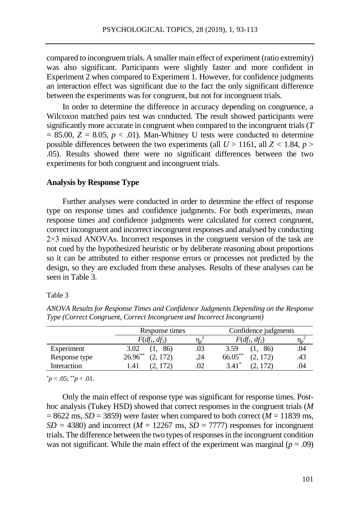compared to incongruent trials. A smaller main effect of experiment (ratio extremity) was also significant. Participants were slightly faster and more confident in Experiment 2 when compared to Experiment 1. However, for confidence judgments an interaction effect was significant due to the fact the only significant difference between the experiments was for congruent, but not for incongruent trials.

In order to determine the difference in accuracy depending on congruence, a Wilcoxon matched pairs test was conducted. The result showed participants were significantly more accurate in congruent when compared to the incongruent trials (*T*   $= 85.00, Z = 8.05, p < .01$ ). Man-Whitney U tests were conducted to determine possible differences between the two experiments (all  $U > 1161$ , all  $Z < 1.84$ ,  $p >$ .05). Results showed there were no significant differences between the two experiments for both congruent and incongruent trials.

#### **Analysis by Response Type**

Further analyses were conducted in order to determine the effect of response type on response times and confidence judgments. For both experiments, mean response times and confidence judgments were calculated for correct congruent, correct incongruent and incorrect incongruent responses and analysed by conducting 2×3 mixed ANOVAs. Incorrect responses in the congruent version of the task are not cued by the hypothesized heuristic or by deliberate reasoning about proportions so it can be attributed to either response errors or processes not predicted by the design, so they are excluded from these analyses. Results of these analyses can be seen in Table 3.

#### Table 3

|               |                     | Response times |                        | Confidence judgments |  |
|---------------|---------------------|----------------|------------------------|----------------------|--|
|               | $F(df_1, df_2)$     |                | $F(df_1, df_2)$        |                      |  |
| Experiment    | 3.02<br>86)         | .03            | 3.59<br>86)            | .04                  |  |
| Response type | 26.96**<br>(2, 172) | .24            | $66.05***$<br>(2, 172) | .43                  |  |
| Interaction   | (72)<br>l.41        | .02            | $3.41*$                | .04                  |  |

*ANOVA Results for Response Times and Confidence Judgments Depending on the Response Type (Correct Congruent, Correct Incongruent and Incorrect Incongruent)*

 $p < .05$ ;  $p < .01$ .

Only the main effect of response type was significant for response times. Posthoc analysis (Tukey HSD) showed that correct responses in the congruent trials (*M*  $= 8622$  ms, *SD* = 3859) were faster when compared to both correct ( $M = 11839$  ms,  $SD = 4380$ ) and incorrect ( $M = 12267$  ms,  $SD = 7777$ ) responses for incongruent trials. The difference between the two types of responses in the incongruent condition was not significant. While the main effect of the experiment was marginal  $(p = .09)$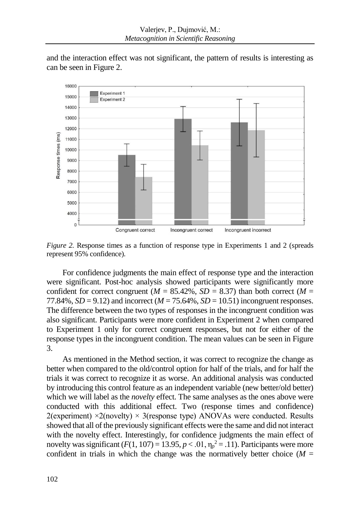and the interaction effect was not significant, the pattern of results is interesting as can be seen in Figure 2.



*Figure 2.* Response times as a function of response type in Experiments 1 and 2 (spreads represent 95% confidence).

For confidence judgments the main effect of response type and the interaction were significant. Post-hoc analysis showed participants were significantly more confident for correct congruent ( $M = 85.42\%$ ,  $SD = 8.37$ ) than both correct ( $M =$ 77.84%,  $SD = 9.12$ ) and incorrect ( $M = 75.64\%$ ,  $SD = 10.51$ ) incongruent responses. The difference between the two types of responses in the incongruent condition was also significant. Participants were more confident in Experiment 2 when compared to Experiment 1 only for correct congruent responses, but not for either of the response types in the incongruent condition. The mean values can be seen in Figure 3.

As mentioned in the Method section, it was correct to recognize the change as better when compared to the old/control option for half of the trials, and for half the trials it was correct to recognize it as worse. An additional analysis was conducted by introducing this control feature as an independent variable (new better/old better) which we will label as the *novelty* effect. The same analyses as the ones above were conducted with this additional effect. Two (response times and confidence) 2(experiment)  $\times$ 2(novelty)  $\times$  3(response type) ANOVAs were conducted. Results showed that all of the previously significant effects were the same and did not interact with the novelty effect. Interestingly, for confidence judgments the main effect of novelty was significant  $(F(1, 107) = 13.95, p < .01, \eta_p^2 = .11)$ . Participants were more confident in trials in which the change was the normatively better choice  $(M =$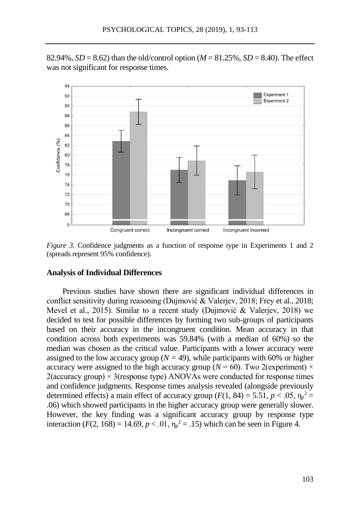82.94%,  $SD = 8.62$ ) than the old/control option  $(M = 81.25\%, SD = 8.40)$ . The effect was not significant for response times.



*Figure 3.* Confidence judgments as a function of response type in Experiments 1 and 2 (spreads represent 95% confidence).

#### **Analysis of Individual Differences**

Previous studies have shown there are significant individual differences in conflict sensitivity during reasoning (Dujmović & Valerjev, 2018; Frey et al., 2018; Mevel et al., 2015). Similar to a recent study (Dujmović & Valerjev, 2018) we decided to test for possible differences by forming two sub-groups of participants based on their accuracy in the incongruent condition. Mean accuracy in that condition across both experiments was 59.84% (with a median of 60%) so the median was chosen as the critical value. Participants with a lower accuracy were assigned to the low accuracy group ( $N = 49$ ), while participants with 60% or higher accuracy were assigned to the high accuracy group ( $N = 60$ ). Two 2(experiment)  $\times$  $2$ (accuracy group)  $\times$  3(response type) ANOVAs were conducted for response times and confidence judgments. Response times analysis revealed (alongside previously determined effects) a main effect of accuracy group ( $F(1, 84) = 5.51$ ,  $p < .05$ ,  $\eta_p^2 =$ .06) which showed participants in the higher accuracy group were generally slower. However, the key finding was a significant accuracy group by response type interaction (*F*(2, 168) = 14.69, *p* < .01,  $\eta_p^2$  = .15) which can be seen in Figure 4.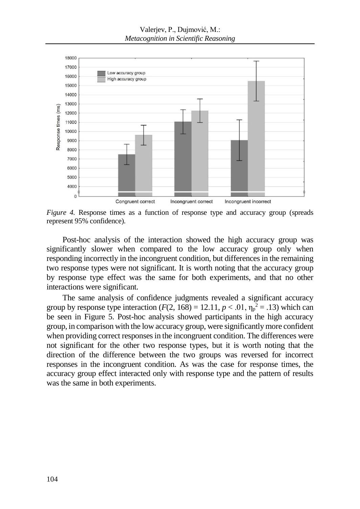

*Figure 4.* Response times as a function of response type and accuracy group (spreads represent 95% confidence).

Post-hoc analysis of the interaction showed the high accuracy group was significantly slower when compared to the low accuracy group only when responding incorrectly in the incongruent condition, but differences in the remaining two response types were not significant. It is worth noting that the accuracy group by response type effect was the same for both experiments, and that no other interactions were significant.

The same analysis of confidence judgments revealed a significant accuracy group by response type interaction  $(F(2, 168) = 12.11, p < .01, \eta_p^2 = .13)$  which can be seen in Figure 5. Post-hoc analysis showed participants in the high accuracy group, in comparison with the low accuracy group, were significantly more confident when providing correct responses in the incongruent condition. The differences were not significant for the other two response types, but it is worth noting that the direction of the difference between the two groups was reversed for incorrect responses in the incongruent condition. As was the case for response times, the accuracy group effect interacted only with response type and the pattern of results was the same in both experiments.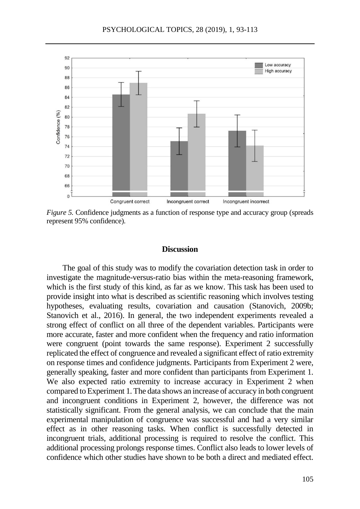

*Figure 5.* Confidence judgments as a function of response type and accuracy group (spreads represent 95% confidence).

#### **Discussion**

The goal of this study was to modify the covariation detection task in order to investigate the magnitude-versus-ratio bias within the meta-reasoning framework, which is the first study of this kind, as far as we know. This task has been used to provide insight into what is described as scientific reasoning which involves testing hypotheses, evaluating results, covariation and causation (Stanovich, 2009b; Stanovich et al., 2016). In general, the two independent experiments revealed a strong effect of conflict on all three of the dependent variables. Participants were more accurate, faster and more confident when the frequency and ratio information were congruent (point towards the same response). Experiment 2 successfully replicated the effect of congruence and revealed a significant effect of ratio extremity on response times and confidence judgments. Participants from Experiment 2 were, generally speaking, faster and more confident than participants from Experiment 1. We also expected ratio extremity to increase accuracy in Experiment 2 when compared to Experiment 1. The data shows an increase of accuracy in both congruent and incongruent conditions in Experiment 2, however, the difference was not statistically significant. From the general analysis, we can conclude that the main experimental manipulation of congruence was successful and had a very similar effect as in other reasoning tasks. When conflict is successfully detected in incongruent trials, additional processing is required to resolve the conflict. This additional processing prolongs response times. Conflict also leads to lower levels of confidence which other studies have shown to be both a direct and mediated effect.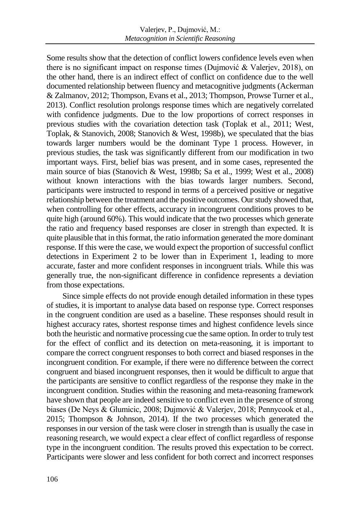Some results show that the detection of conflict lowers confidence levels even when there is no significant impact on response times (Dujmović & Valerjev, 2018), on the other hand, there is an indirect effect of conflict on confidence due to the well documented relationship between fluency and metacognitive judgments (Ackerman & Zalmanov, 2012; Thompson, Evans et al., 2013; Thompson, Prowse Turner et al., 2013). Conflict resolution prolongs response times which are negatively correlated with confidence judgments. Due to the low proportions of correct responses in previous studies with the covariation detection task (Toplak et al., 2011; West, Toplak, & Stanovich, 2008; Stanovich & West, 1998b), we speculated that the bias towards larger numbers would be the dominant Type 1 process. However, in previous studies, the task was significantly different from our modification in two important ways. First, belief bias was present, and in some cases, represented the main source of bias (Stanovich & West, 1998b; Sa et al., 1999; West et al., 2008) without known interactions with the bias towards larger numbers. Second, participants were instructed to respond in terms of a perceived positive or negative relationship between the treatment and the positive outcomes. Our study showed that, when controlling for other effects, accuracy in incongruent conditions proves to be quite high (around 60%). This would indicate that the two processes which generate the ratio and frequency based responses are closer in strength than expected. It is quite plausible that in this format, the ratio information generated the more dominant response. If this were the case, we would expect the proportion of successful conflict detections in Experiment 2 to be lower than in Experiment 1, leading to more accurate, faster and more confident responses in incongruent trials. While this was generally true, the non-significant difference in confidence represents a deviation from those expectations.

Since simple effects do not provide enough detailed information in these types of studies, it is important to analyse data based on response type. Correct responses in the congruent condition are used as a baseline. These responses should result in highest accuracy rates, shortest response times and highest confidence levels since both the heuristic and normative processing cue the same option. In order to truly test for the effect of conflict and its detection on meta-reasoning, it is important to compare the correct congruent responses to both correct and biased responses in the incongruent condition. For example, if there were no difference between the correct congruent and biased incongruent responses, then it would be difficult to argue that the participants are sensitive to conflict regardless of the response they make in the incongruent condition. Studies within the reasoning and meta-reasoning framework have shown that people are indeed sensitive to conflict even in the presence of strong biases (De Neys & Glumicic, 2008; Dujmović & Valerjev, 2018; Pennycook et al., 2015; Thompson & Johnson, 2014). If the two processes which generated the responses in our version of the task were closer in strength than is usually the case in reasoning research, we would expect a clear effect of conflict regardless of response type in the incongruent condition. The results proved this expectation to be correct. Participants were slower and less confident for both correct and incorrect responses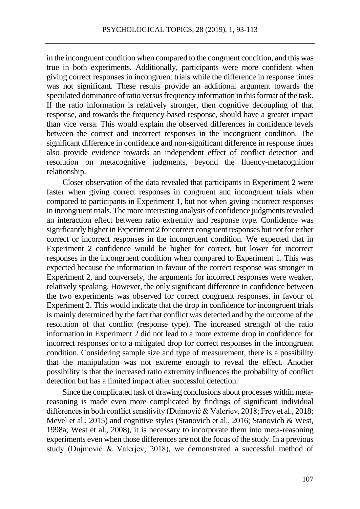in the incongruent condition when compared to the congruent condition, and this was true in both experiments. Additionally, participants were more confident when giving correct responses in incongruent trials while the difference in response times was not significant. These results provide an additional argument towards the speculated dominance of ratio versus frequency information in this format of the task. If the ratio information is relatively stronger, then cognitive decoupling of that response, and towards the frequency-based response, should have a greater impact than vice versa. This would explain the observed differences in confidence levels between the correct and incorrect responses in the incongruent condition. The significant difference in confidence and non-significant difference in response times also provide evidence towards an independent effect of conflict detection and resolution on metacognitive judgments, beyond the fluency-metacognition relationship.

Closer observation of the data revealed that participants in Experiment 2 were faster when giving correct responses in congruent and incongruent trials when compared to participants in Experiment 1, but not when giving incorrect responses in incongruent trials. The more interesting analysis of confidence judgments revealed an interaction effect between ratio extremity and response type. Confidence was significantly higher in Experiment 2 for correct congruent responses but not for either correct or incorrect responses in the incongruent condition. We expected that in Experiment 2 confidence would be higher for correct, but lower for incorrect responses in the incongruent condition when compared to Experiment 1. This was expected because the information in favour of the correct response was stronger in Experiment 2, and conversely, the arguments for incorrect responses were weaker, relatively speaking. However, the only significant difference in confidence between the two experiments was observed for correct congruent responses, in favour of Experiment 2. This would indicate that the drop in confidence for incongruent trials is mainly determined by the fact that conflict was detected and by the outcome of the resolution of that conflict (response type). The increased strength of the ratio information in Experiment 2 did not lead to a more extreme drop in confidence for incorrect responses or to a mitigated drop for correct responses in the incongruent condition. Considering sample size and type of measurement, there is a possibility that the manipulation was not extreme enough to reveal the effect. Another possibility is that the increased ratio extremity influences the probability of conflict detection but has a limited impact after successful detection.

Since the complicated task of drawing conclusions about processes within metareasoning is made even more complicated by findings of significant individual differences in both conflict sensitivity (Dujmović & Valerjev, 2018; Frey et al., 2018; Mevel et al., 2015) and cognitive styles (Stanovich et al., 2016; Stanovich & West, 1998a; West et al., 2008), it is necessary to incorporate them into meta-reasoning experiments even when those differences are not the focus of the study. In a previous study (Dujmović & Valerjev, 2018), we demonstrated a successful method of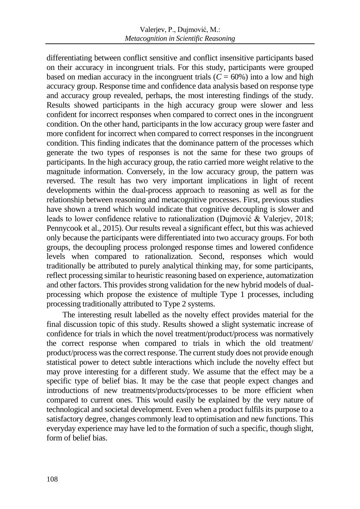differentiating between conflict sensitive and conflict insensitive participants based on their accuracy in incongruent trials. For this study, participants were grouped based on median accuracy in the incongruent trials  $(C = 60\%)$  into a low and high accuracy group. Response time and confidence data analysis based on response type and accuracy group revealed, perhaps, the most interesting findings of the study. Results showed participants in the high accuracy group were slower and less confident for incorrect responses when compared to correct ones in the incongruent condition. On the other hand, participants in the low accuracy group were faster and more confident for incorrect when compared to correct responses in the incongruent condition. This finding indicates that the dominance pattern of the processes which generate the two types of responses is not the same for these two groups of participants. In the high accuracy group, the ratio carried more weight relative to the magnitude information. Conversely, in the low accuracy group, the pattern was reversed. The result has two very important implications in light of recent developments within the dual-process approach to reasoning as well as for the relationship between reasoning and metacognitive processes. First, previous studies have shown a trend which would indicate that cognitive decoupling is slower and leads to lower confidence relative to rationalization (Dujmović & Valerjev, 2018; Pennycook et al., 2015). Our results reveal a significant effect, but this was achieved only because the participants were differentiated into two accuracy groups. For both groups, the decoupling process prolonged response times and lowered confidence levels when compared to rationalization. Second, responses which would traditionally be attributed to purely analytical thinking may, for some participants, reflect processing similar to heuristic reasoning based on experience, automatization and other factors. This provides strong validation for the new hybrid models of dualprocessing which propose the existence of multiple Type 1 processes, including processing traditionally attributed to Type 2 systems.

The interesting result labelled as the novelty effect provides material for the final discussion topic of this study. Results showed a slight systematic increase of confidence for trials in which the novel treatment/product/process was normatively the correct response when compared to trials in which the old treatment/ product/process was the correct response. The current study does not provide enough statistical power to detect subtle interactions which include the novelty effect but may prove interesting for a different study. We assume that the effect may be a specific type of belief bias. It may be the case that people expect changes and introductions of new treatments/products/processes to be more efficient when compared to current ones. This would easily be explained by the very nature of technological and societal development. Even when a product fulfils its purpose to a satisfactory degree, changes commonly lead to optimisation and new functions. This everyday experience may have led to the formation of such a specific, though slight, form of belief bias.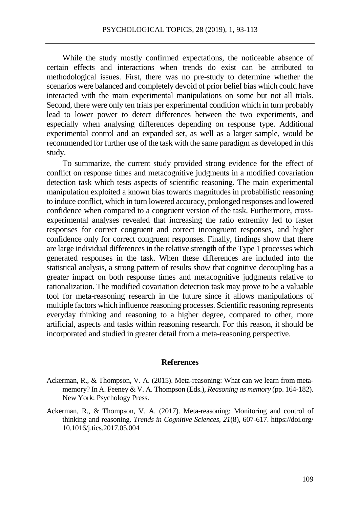While the study mostly confirmed expectations, the noticeable absence of certain effects and interactions when trends do exist can be attributed to methodological issues. First, there was no pre-study to determine whether the scenarios were balanced and completely devoid of prior belief bias which could have interacted with the main experimental manipulations on some but not all trials. Second, there were only ten trials per experimental condition which in turn probably lead to lower power to detect differences between the two experiments, and especially when analysing differences depending on response type. Additional experimental control and an expanded set, as well as a larger sample, would be recommended for further use of the task with the same paradigm as developed in this study.

To summarize, the current study provided strong evidence for the effect of conflict on response times and metacognitive judgments in a modified covariation detection task which tests aspects of scientific reasoning. The main experimental manipulation exploited a known bias towards magnitudes in probabilistic reasoning to induce conflict, which in turn lowered accuracy, prolonged responses and lowered confidence when compared to a congruent version of the task. Furthermore, crossexperimental analyses revealed that increasing the ratio extremity led to faster responses for correct congruent and correct incongruent responses, and higher confidence only for correct congruent responses. Finally, findings show that there are large individual differences in the relative strength of the Type 1 processes which generated responses in the task. When these differences are included into the statistical analysis, a strong pattern of results show that cognitive decoupling has a greater impact on both response times and metacognitive judgments relative to rationalization. The modified covariation detection task may prove to be a valuable tool for meta-reasoning research in the future since it allows manipulations of multiple factors which influence reasoning processes. Scientific reasoning represents everyday thinking and reasoning to a higher degree, compared to other, more artificial, aspects and tasks within reasoning research. For this reason, it should be incorporated and studied in greater detail from a meta-reasoning perspective.

#### **References**

- Ackerman, R., & Thompson, V. A. (2015). Meta-reasoning: What can we learn from metamemory? In A. Feeney & V. A. Thompson (Eds.), *Reasoning as memory* (pp. 164-182). New York: Psychology Press.
- Ackerman, R., & Thompson, V. A. (2017). Meta-reasoning: Monitoring and control of thinking and reasoning. *Trends in Cognitive Sciences, 21*(8), 607-617. https://doi.org/ 10.1016/j.tics.2017.05.004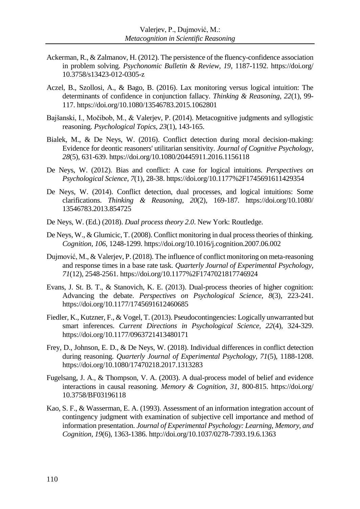- Ackerman, R., & Zalmanov, H. (2012). The persistence of the fluency-confidence association in problem solving. *Psychonomic Bulletin & Review, 19*, 1187-1192. https://doi.org/ 10.3758/s13423-012-0305-z
- Aczel, B., Szollosi, A., & Bago, B. (2016). Lax monitoring versus logical intuition: The determinants of confidence in conjunction fallacy. *Thinking & Reasoning, 22*(1), 99- 117. https://doi.org/10.1080/13546783.2015.1062801
- Bajšanski, I., Močibob, M., & Valerjev, P. (2014). Metacognitive judgments and syllogistic reasoning. *Psychological Topics, 23*(1), 143-165.
- Bialek, M., & De Neys, W. (2016). Conflict detection during moral decision-making: Evidence for deontic reasoners' utilitarian sensitivity. *Journal of Cognitive Psychology, 28*(5), 631-639. https://doi.org/10.1080/20445911.2016.1156118
- De Neys, W. (2012). Bias and conflict: A case for logical intuitions. *Perspectives on Psychological Science, 7*(1), 28-38. https://doi.org/10.1177%2F1745691611429354
- De Neys, W. (2014). Conflict detection, dual processes, and logical intuitions: Some clarifications. *Thinking & Reasoning, 20*(2), 169-187. https://doi.org/10.1080/ 13546783.2013.854725
- De Neys, W. (Ed.) (2018). *Dual process theory 2.0*. New York: Routledge.
- De Neys, W., & Glumicic, T. (2008). Conflict monitoring in dual process theories of thinking. *Cognition, 106*, 1248-1299. https://doi.org/10.1016/j.cognition.2007.06.002
- Dujmović, M., & Valerjev, P. (2018). The influence of conflict monitoring on meta-reasoning and response times in a base rate task. *Quarterly Journal of Experimental Psychology, 71*(12), 2548-2561. https://doi.org/10.1177%2F1747021817746924
- Evans, J. St. B. T., & Stanovich, K. E. (2013). Dual-process theories of higher cognition: Advancing the debate. *Perspectives on Psychological Science, 8*(3), 223-241. https://doi.org/10.1177/1745691612460685
- Fiedler, K., Kutzner, F., & Vogel, T. (2013). Pseudocontingencies: Logically unwarranted but smart inferences. *Current Directions in Psychological Science, 22*(4), 324-329. https://doi.org/10.1177/0963721413480171
- Frey, D., Johnson, E. D., & De Neys, W. (2018). Individual differences in conflict detection during reasoning. *Quarterly Journal of Experimental Psychology, 71*(5), 1188-1208. https://doi.org/10.1080/17470218.2017.1313283
- Fugelsang, J. A., & Thompson, V. A. (2003). A dual-process model of belief and evidence interactions in causal reasoning. *Memory & Cognition, 31*, 800-815. https://doi.org/ 10.3758/BF03196118
- Kao, S. F., & Wasserman, E. A. (1993). Assessment of an information integration account of contingency judgment with examination of subjective cell importance and method of information presentation. *Journal of Experimental Psychology: Learning, Memory, and Cognition, 19*(6), 1363-1386. http://doi.org/10.1037/0278-7393.19.6.1363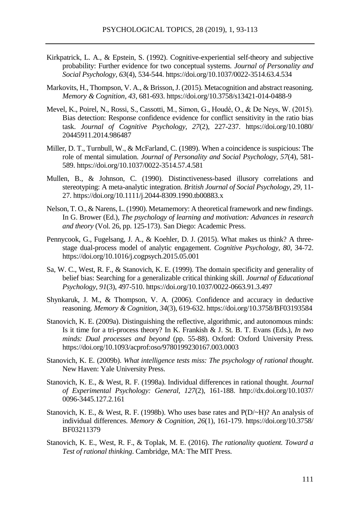- Kirkpatrick, L. A., & Epstein, S. (1992). Cognitive-experiential self-theory and subjective probability: Further evidence for two conceptual systems. *Journal of Personality and Social Psychology, 63*(4), 534-544. https://doi.org/10.1037/0022-3514.63.4.534
- Markovits, H., Thompson, V. A., & Brisson, J. (2015). Metacognition and abstract reasoning. *Memory & Cognition, 43*, 681-693. https://doi.org/10.3758/s13421-014-0488-9
- Mevel, K., Poirel, N., Rossi, S., Cassotti, M., Simon, G., Houdé, O., & De Neys, W. (2015). Bias detection: Response confidence evidence for conflict sensitivity in the ratio bias task. *Journal of Cognitive Psychology, 27*(2), 227-237. https://doi.org/10.1080/ 20445911.2014.986487
- Miller, D. T., Turnbull, W., & McFarland, C. (1989). When a coincidence is suspicious: The role of mental simulation. *Journal of Personality and Social Psychology, 57*(4), 581- 589. https://doi.org/10.1037/0022-3514.57.4.581
- Mullen, B., & Johnson, C. (1990). Distinctiveness-based illusory correlations and stereotyping: A meta-analytic integration. *British Journal of Social Psychology, 29,* 11- 27. https://doi.org/10.1111/j.2044-8309.1990.tb00883.x
- Nelson, T. O., & Narens, L. (1990). Metamemory: A theoretical framework and new findings. In G. Brower (Ed.), *The psychology of learning and motivation: Advances in research and theory* (Vol. 26, pp. 125-173). San Diego: Academic Press.
- Pennycook, G., Fugelsang, J. A., & Koehler, D. J. (2015). What makes us think? A threestage dual-process model of analytic engagement. *Cognitive Psychology, 80*, 34-72. https://doi.org/10.1016/j.cogpsych.2015.05.001
- Sa, W. C., West, R. F., & Stanovich, K. E. (1999). The domain specificity and generality of belief bias: Searching for a generalizable critical thinking skill. *Journal of Educational Psychology, 91*(3), 497-510. https://doi.org/10.1037/0022-0663.91.3.497
- Shynkaruk, J. M., & Thompson, V. A. (2006). Confidence and accuracy in deductive reasoning. *Memory & Cognition, 34*(3), 619-632. https://doi.org/10.3758/BF03193584
- Stanovich, K. E. (2009a). Distinguishing the reflective, algorithmic, and autonomous minds: Is it time for a tri-process theory? In K. Frankish & J. St. B. T. Evans (Eds.), *In two minds: Dual processes and beyond* (pp. 55-88). Oxford: Oxford University Press. https://doi.org/10.1093/acprof:oso/9780199230167.003.0003
- Stanovich, K. E. (2009b). *What intelligence tests miss: The psychology of rational thought*. New Haven: Yale University Press.
- Stanovich, K. E., & West, R. F. (1998a). Individual differences in rational thought. *Journal of Experimental Psychology: General, 127*(2), 161-188. http://dx.doi.org/10.1037/ 0096-3445.127.2.161
- Stanovich, K. E., & West, R. F. (1998b). Who uses base rates and P(D/~H)? An analysis of individual differences. *Memory & Cognition, 26*(1), 161-179. https://doi.org/10.3758/ BF03211379
- Stanovich, K. E., West, R. F., & Toplak, M. E. (2016). *The rationality quotient. Toward a Test of rational thinking*. Cambridge, MA: The MIT Press.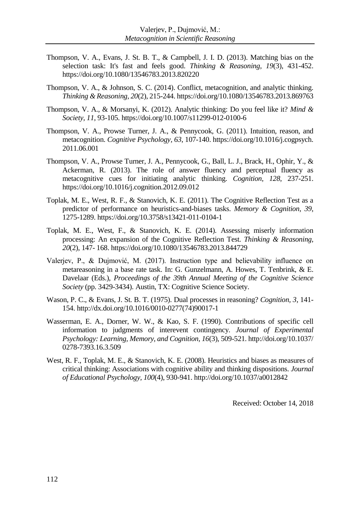- Thompson, V. A., Evans, J. St. B. T., & Campbell, J. I. D. (2013). Matching bias on the selection task: It's fast and feels good. *Thinking & Reasoning, 19*(3), 431-452. https://doi.org/10.1080/13546783.2013.820220
- Thompson, V. A., & Johnson, S. C. (2014). Conflict, metacognition, and analytic thinking. *Thinking & Reasoning, 20*(2), 215-244. https://doi.org/10.1080/13546783.2013.869763
- Thompson, V. A., & Morsanyi, K. (2012). Analytic thinking: Do you feel like it? *Mind & Society, 11*, 93-105. https://doi.org/10.1007/s11299-012-0100-6
- Thompson, V. A., Prowse Turner, J. A., & Pennycook, G. (2011). Intuition, reason, and metacognition. *Cognitive Psychology, 63*, 107-140. https://doi.org/10.1016/j.cogpsych. 2011.06.001
- Thompson, V. A., Prowse Turner, J. A., Pennycook, G., Ball, L. J., Brack, H., Ophir, Y., & Ackerman, R. (2013). The role of answer fluency and perceptual fluency as metacognitive cues for initiating analytic thinking. *Cognition, 128*, 237-251. https://doi.org/10.1016/j.cognition.2012.09.012
- Toplak, M. E., West, R. F., & Stanovich, K. E. (2011). The Cognitive Reflection Test as a predictor of performance on heuristics-and-biases tasks. *Memory & Cognition, 39*, 1275-1289. https://doi.org/10.3758/s13421-011-0104-1
- Toplak, M. E., West, F., & Stanovich, K. E. (2014). Assessing miserly information processing: An expansion of the Cognitive Reflection Test. *Thinking & Reasoning, 20*(2), 147- 168. https://doi.org/10.1080/13546783.2013.844729
- Valerjev, P., & Dujmović, M. (2017). Instruction type and believability influence on metareasoning in a base rate task. In: G. Gunzelmann, A. Howes, T. Tenbrink, & E. Davelaar (Eds.), *Proceedings of the 39th Annual Meeting of the Cognitive Science Society* (pp. 3429-3434). Austin, TX: Cognitive Science Society.
- Wason, P. C., & Evans, J. St. B. T. (1975). Dual processes in reasoning? *Cognition, 3*, 141- 154. http://dx.doi.org/10.1016/0010-0277(74)90017-1
- Wasserman, E. A., Dorner, W. W., & Kao, S. F. (1990). Contributions of specific cell information to judgments of interevent contingency*. Journal of Experimental Psychology: Learning, Memory, and Cognition, 16*(3), 509-521. http://doi.org/10.1037/ 0278-7393.16.3.509
- West, R. F., Toplak, M. E., & Stanovich, K. E. (2008). Heuristics and biases as measures of critical thinking: Associations with cognitive ability and thinking dispositions. *Journal of Educational Psychology, 100*(4), 930-941. http://doi.org/10.1037/a0012842

Received: October 14, 2018